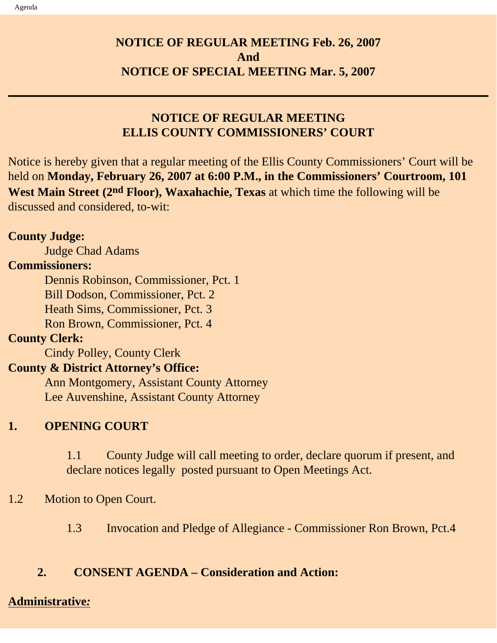## **NOTICE OF REGULAR MEETING Feb. 26, 2007 And NOTICE OF SPECIAL MEETING Mar. 5, 2007**

## **NOTICE OF REGULAR MEETING ELLIS COUNTY COMMISSIONERS' COURT**

Notice is hereby given that a regular meeting of the Ellis County Commissioners' Court will be held on **Monday, February 26, 2007 at 6:00 P.M., in the Commissioners' Courtroom, 101 West Main Street (2nd Floor), Waxahachie, Texas** at which time the following will be discussed and considered, to-wit:

### **County Judge:**

Judge Chad Adams

### **Commissioners:**

 Dennis Robinson, Commissioner, Pct. 1 Bill Dodson, Commissioner, Pct. 2 Heath Sims, Commissioner, Pct. 3 Ron Brown, Commissioner, Pct. 4

### **County Clerk:**

Cindy Polley, County Clerk

## **County & District Attorney's Office:**

 Ann Montgomery, Assistant County Attorney Lee Auvenshine, Assistant County Attorney

## **1. OPENING COURT**

1.1 County Judge will call meeting to order, declare quorum if present, and declare notices legally posted pursuant to Open Meetings Act.

### 1.2 Motion to Open Court.

1.3 Invocation and Pledge of Allegiance - Commissioner Ron Brown, Pct.4

### **2. CONSENT AGENDA – Consideration and Action:**

#### **Administrative***:*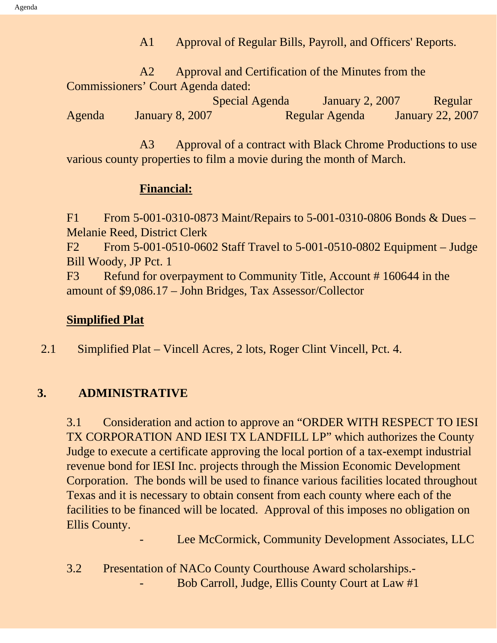A1 Approval of Regular Bills, Payroll, and Officers' Reports.

 A2 Approval and Certification of the Minutes from the Commissioners' Court Agenda dated:

 Special Agenda January 2, 2007 Regular Agenda January 8, 2007 Regular Agenda January 22, 2007

A3 Approval of a contract with Black Chrome Productions to use various county properties to film a movie during the month of March.

### **Financial:**

F1 From 5-001-0310-0873 Maint/Repairs to 5-001-0310-0806 Bonds & Dues – Melanie Reed, District Clerk

F2 From 5-001-0510-0602 Staff Travel to 5-001-0510-0802 Equipment – Judge Bill Woody, JP Pct. 1

F3 Refund for overpayment to Community Title, Account #160644 in the amount of \$9,086.17 – John Bridges, Tax Assessor/Collector

### **Simplified Plat**

2.1 Simplified Plat – Vincell Acres, 2 lots, Roger Clint Vincell, Pct. 4.

### **3. ADMINISTRATIVE**

3.1 Consideration and action to approve an "ORDER WITH RESPECT TO IESI TX CORPORATION AND IESI TX LANDFILL LP" which authorizes the County Judge to execute a certificate approving the local portion of a tax-exempt industrial revenue bond for IESI Inc. projects through the Mission Economic Development Corporation. The bonds will be used to finance various facilities located throughout Texas and it is necessary to obtain consent from each county where each of the facilities to be financed will be located. Approval of this imposes no obligation on Ellis County.

Lee McCormick, Community Development Associates, LLC

3.2 Presentation of NACo County Courthouse Award scholarships.- Bob Carroll, Judge, Ellis County Court at Law #1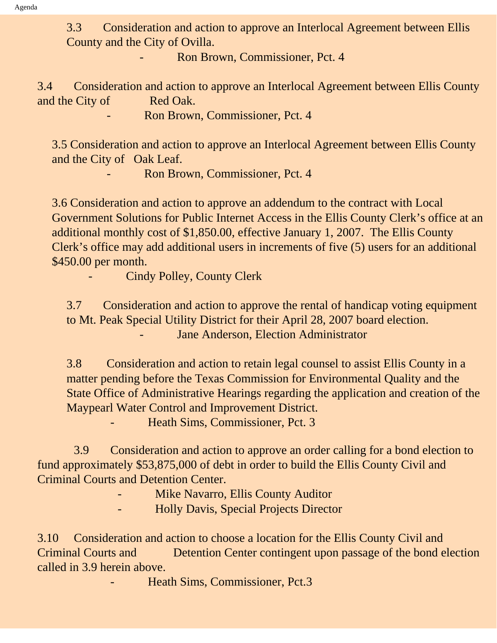3.3 Consideration and action to approve an Interlocal Agreement between Ellis County and the City of Ovilla.

- Ron Brown, Commissioner, Pct. 4

3.4 Consideration and action to approve an Interlocal Agreement between Ellis County and the City of Red Oak.

Ron Brown, Commissioner, Pct. 4

3.5 Consideration and action to approve an Interlocal Agreement between Ellis County and the City of Oak Leaf.

- Ron Brown, Commissioner, Pct. 4

3.6 Consideration and action to approve an addendum to the contract with Local Government Solutions for Public Internet Access in the Ellis County Clerk's office at an additional monthly cost of \$1,850.00, effective January 1, 2007. The Ellis County Clerk's office may add additional users in increments of five (5) users for an additional \$450.00 per month.

Cindy Polley, County Clerk

3.7 Consideration and action to approve the rental of handicap voting equipment to Mt. Peak Special Utility District for their April 28, 2007 board election. Jane Anderson, Election Administrator

3.8 Consideration and action to retain legal counsel to assist Ellis County in a matter pending before the Texas Commission for Environmental Quality and the State Office of Administrative Hearings regarding the application and creation of the Maypearl Water Control and Improvement District.

Heath Sims, Commissioner, Pct. 3

 3.9 Consideration and action to approve an order calling for a bond election to fund approximately \$53,875,000 of debt in order to build the Ellis County Civil and Criminal Courts and Detention Center.

Mike Navarro, Ellis County Auditor

- Holly Davis, Special Projects Director

3.10 Consideration and action to choose a location for the Ellis County Civil and Criminal Courts and Detention Center contingent upon passage of the bond election called in 3.9 herein above.

Heath Sims, Commissioner, Pct.3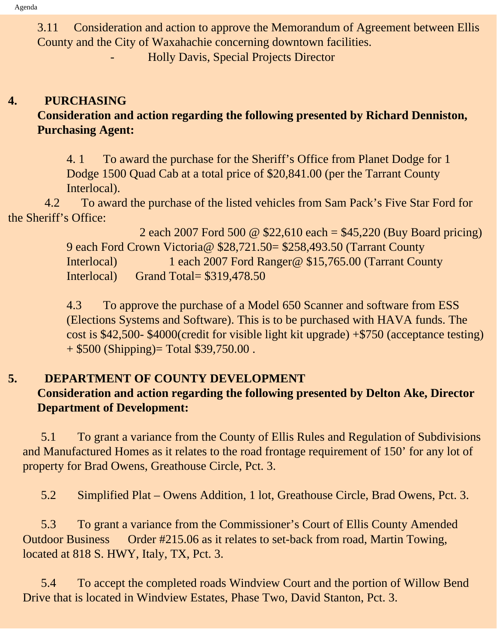3.11 Consideration and action to approve the Memorandum of Agreement between Ellis County and the City of Waxahachie concerning downtown facilities.

- Holly Davis, Special Projects Director

# **4. PURCHASING Consideration and action regarding the following presented by Richard Denniston, Purchasing Agent:**

4. 1 To award the purchase for the Sheriff's Office from Planet Dodge for 1 Dodge 1500 Quad Cab at a total price of \$20,841.00 (per the Tarrant County Interlocal).

 4.2 To award the purchase of the listed vehicles from Sam Pack's Five Star Ford for the Sheriff's Office:

> 2 each 2007 Ford 500 @ \$22,610 each = \$45,220 (Buy Board pricing) 9 each Ford Crown Victoria@ \$28,721.50= \$258,493.50 (Tarrant County Interlocal) 1 each 2007 Ford Ranger@ \$15,765.00 (Tarrant County Interlocal) Grand Total= \$319,478.50

> 4.3 To approve the purchase of a Model 650 Scanner and software from ESS (Elections Systems and Software). This is to be purchased with HAVA funds. The cost is \$42,500- \$4000(credit for visible light kit upgrade) +\$750 (acceptance testing) + \$500 (Shipping)= Total \$39,750.00 .

# **5. DEPARTMENT OF COUNTY DEVELOPMENT**

# **Consideration and action regarding the following presented by Delton Ake, Director Department of Development:**

 5.1 To grant a variance from the County of Ellis Rules and Regulation of Subdivisions and Manufactured Homes as it relates to the road frontage requirement of 150' for any lot of property for Brad Owens, Greathouse Circle, Pct. 3.

5.2 Simplified Plat – Owens Addition, 1 lot, Greathouse Circle, Brad Owens, Pct. 3.

 5.3 To grant a variance from the Commissioner's Court of Ellis County Amended Outdoor Business Order #215.06 as it relates to set-back from road, Martin Towing, located at 818 S. HWY, Italy, TX, Pct. 3.

 5.4 To accept the completed roads Windview Court and the portion of Willow Bend Drive that is located in Windview Estates, Phase Two, David Stanton, Pct. 3.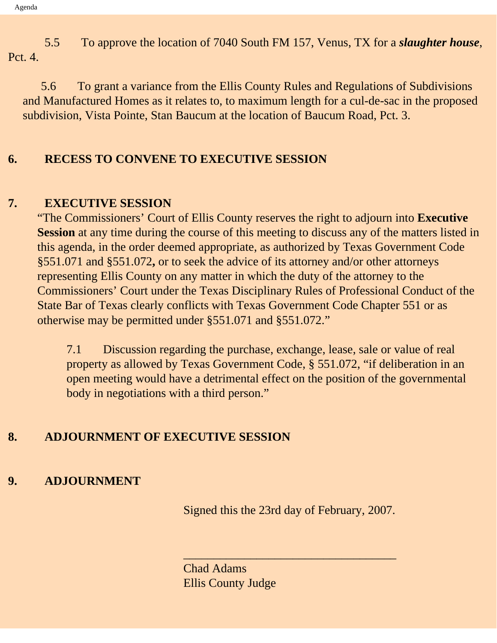5.5 To approve the location of 7040 South FM 157, Venus, TX for a *slaughter house*, Pct. 4.

 5.6 To grant a variance from the Ellis County Rules and Regulations of Subdivisions and Manufactured Homes as it relates to, to maximum length for a cul-de-sac in the proposed subdivision, Vista Pointe, Stan Baucum at the location of Baucum Road, Pct. 3.

### **6. RECESS TO CONVENE TO EXECUTIVE SESSION**

### **7. EXECUTIVE SESSION**

"The Commissioners' Court of Ellis County reserves the right to adjourn into **Executive Session** at any time during the course of this meeting to discuss any of the matters listed in this agenda, in the order deemed appropriate, as authorized by Texas Government Code §551.071 and §551.072**,** or to seek the advice of its attorney and/or other attorneys representing Ellis County on any matter in which the duty of the attorney to the Commissioners' Court under the Texas Disciplinary Rules of Professional Conduct of the State Bar of Texas clearly conflicts with Texas Government Code Chapter 551 or as otherwise may be permitted under §551.071 and §551.072."

7.1 Discussion regarding the purchase, exchange, lease, sale or value of real property as allowed by Texas Government Code, § 551.072, "if deliberation in an open meeting would have a detrimental effect on the position of the governmental body in negotiations with a third person."

### **8. ADJOURNMENT OF EXECUTIVE SESSION**

## **9. ADJOURNMENT**

Signed this the 23rd day of February, 2007.

\_\_\_\_\_\_\_\_\_\_\_\_\_\_\_\_\_\_\_\_\_\_\_\_\_\_\_\_\_\_\_\_\_\_\_

Chad Adams Ellis County Judge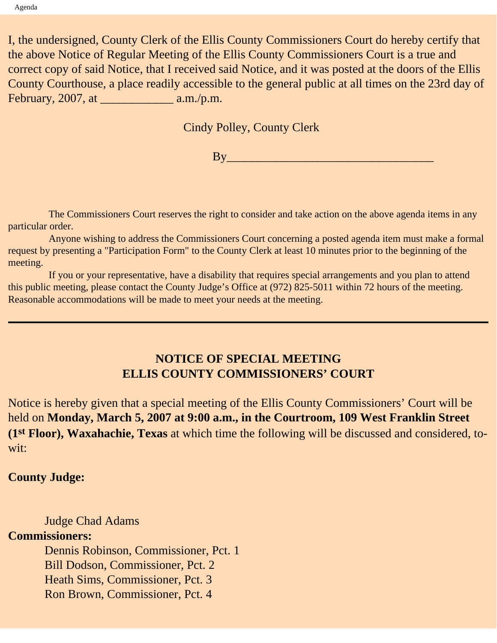I, the undersigned, County Clerk of the Ellis County Commissioners Court do hereby certify that the above Notice of Regular Meeting of the Ellis County Commissioners Court is a true and correct copy of said Notice, that I received said Notice, and it was posted at the doors of the Ellis County Courthouse, a place readily accessible to the general public at all times on the 23rd day of February, 2007, at \_\_\_\_\_\_\_\_\_\_\_\_ a.m./p.m.

Cindy Polley, County Clerk

 $By$ 

 The Commissioners Court reserves the right to consider and take action on the above agenda items in any particular order.

 Anyone wishing to address the Commissioners Court concerning a posted agenda item must make a formal request by presenting a "Participation Form" to the County Clerk at least 10 minutes prior to the beginning of the meeting.

 If you or your representative, have a disability that requires special arrangements and you plan to attend this public meeting, please contact the County Judge's Office at (972) 825-5011 within 72 hours of the meeting. Reasonable accommodations will be made to meet your needs at the meeting.

### **NOTICE OF SPECIAL MEETING ELLIS COUNTY COMMISSIONERS' COURT**

Notice is hereby given that a special meeting of the Ellis County Commissioners' Court will be held on **Monday, March 5, 2007 at 9:00 a.m., in the Courtroom, 109 West Franklin Street (1st Floor), Waxahachie, Texas** at which time the following will be discussed and considered, towit:

#### **County Judge:**

 Judge Chad Adams **Commissioners:** Dennis Robinson, Commissioner, Pct. 1 Bill Dodson, Commissioner, Pct. 2 Heath Sims, Commissioner, Pct. 3 Ron Brown, Commissioner, Pct. 4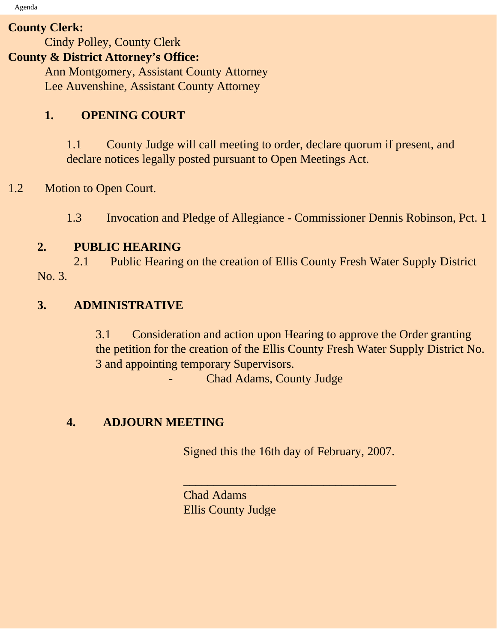Agenda

#### **County Clerk:**

Cindy Polley, County Clerk

### **County & District Attorney's Office:**

 Ann Montgomery, Assistant County Attorney Lee Auvenshine, Assistant County Attorney

## **1. OPENING COURT**

1.1 County Judge will call meeting to order, declare quorum if present, and declare notices legally posted pursuant to Open Meetings Act.

## 1.2 Motion to Open Court.

1.3 Invocation and Pledge of Allegiance - Commissioner Dennis Robinson, Pct. 1

## **2. PUBLIC HEARING**

2.1 Public Hearing on the creation of Ellis County Fresh Water Supply District No. 3.

## **3. ADMINISTRATIVE**

3.1 Consideration and action upon Hearing to approve the Order granting the petition for the creation of the Ellis County Fresh Water Supply District No. 3 and appointing temporary Supervisors.

Chad Adams, County Judge

### **4. ADJOURN MEETING**

Signed this the 16th day of February, 2007.

 $\overline{\phantom{a}}$  , and the set of the set of the set of the set of the set of the set of the set of the set of the set of the set of the set of the set of the set of the set of the set of the set of the set of the set of the s

Chad Adams Ellis County Judge